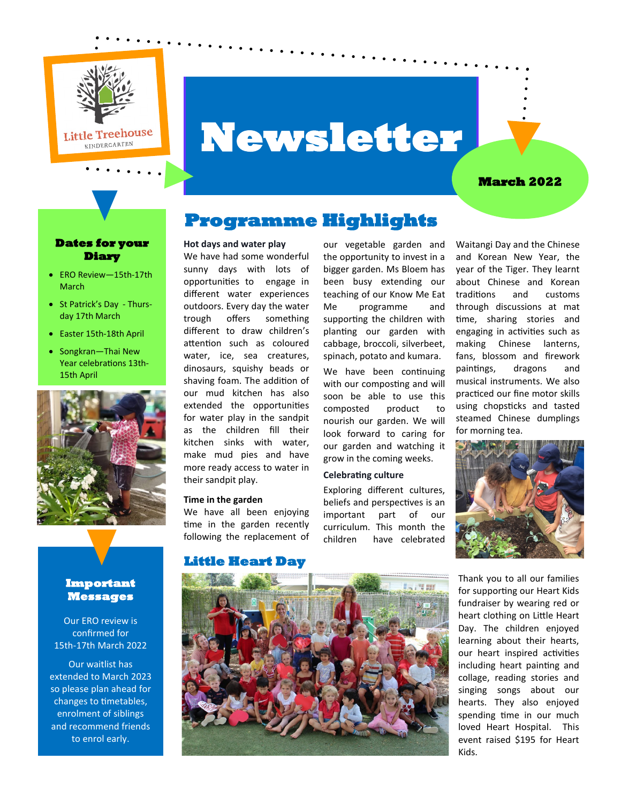

# **Newsletter**

**Programme Highlights** 

#### **March 2022**

### **Dates for your Diary**

- ERO Review—15th-17th March
- St Patrick's Day Thursday 17th March
- Easter 15th-18th April
- Songkran—Thai New Year celebrations 13th-15th April



We have had some wonderful sunny days with lots of opportunities to engage in different water experiences outdoors. Every day the water trough offers something different to draw children's attention such as coloured water, ice, sea creatures, dinosaurs, squishy beads or shaving foam. The addition of our mud kitchen has also extended the opportunities for water play in the sandpit as the children fill their kitchen sinks with water, make mud pies and have more ready access to water in their sandpit play.

**Hot days and water play**

#### **Time in the garden**

We have all been enjoying time in the garden recently following the replacement of our vegetable garden and the opportunity to invest in a bigger garden. Ms Bloem has been busy extending our teaching of our Know Me Eat Me programme and supporting the children with planting our garden with cabbage, broccoli, silverbeet, spinach, potato and kumara.

We have been continuing with our composting and will soon be able to use this composted product to nourish our garden. We will look forward to caring for our garden and watching it grow in the coming weeks.

#### **Celebrating culture**

Exploring different cultures, beliefs and perspectives is an important part of our curriculum. This month the children have celebrated

Waitangi Day and the Chinese and Korean New Year, the year of the Tiger. They learnt about Chinese and Korean traditions and customs through discussions at mat time, sharing stories and engaging in activities such as making Chinese lanterns, fans, blossom and firework paintings, dragons and musical instruments. We also practiced our fine motor skills using chopsticks and tasted steamed Chinese dumplings for morning tea.



#### **Little Heart Day**



Thank you to all our families for supporting our Heart Kids fundraiser by wearing red or heart clothing on Little Heart Day. The children enjoyed learning about their hearts, our heart inspired activities including heart painting and collage, reading stories and singing songs about our hearts. They also enjoyed spending time in our much loved Heart Hospital. This event raised \$195 for Heart Kids.

### **Important Messages**

Our ERO review is confirmed for 15th-17th March 2022

Our waitlist has extended to March 2023 so please plan ahead for changes to timetables, enrolment of siblings and recommend friends to enrol early.